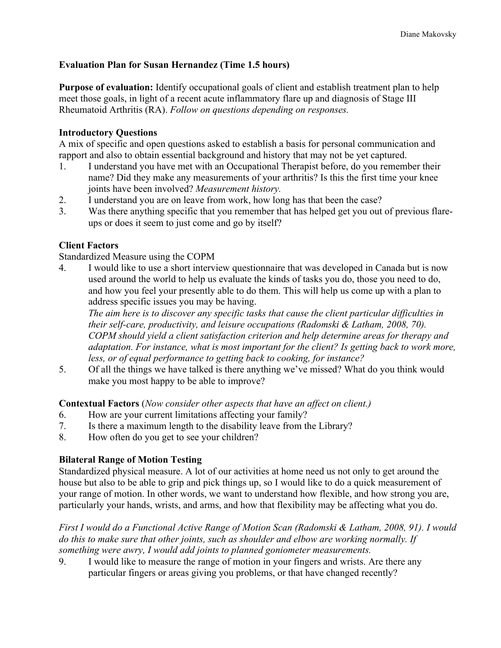# **Evaluation Plan for Susan Hernandez (Time 1.5 hours)**

**Purpose of evaluation:** Identify occupational goals of client and establish treatment plan to help meet those goals, in light of a recent acute inflammatory flare up and diagnosis of Stage III Rheumatoid Arthritis (RA). *Follow on questions depending on responses.*

# **Introductory Questions**

A mix of specific and open questions asked to establish a basis for personal communication and rapport and also to obtain essential background and history that may not be yet captured.

- 1. I understand you have met with an Occupational Therapist before, do you remember their name? Did they make any measurements of your arthritis? Is this the first time your knee joints have been involved? *Measurement history.*
- 2. I understand you are on leave from work, how long has that been the case?
- 3. Was there anything specific that you remember that has helped get you out of previous flareups or does it seem to just come and go by itself?

## **Client Factors**

Standardized Measure using the COPM

4. I would like to use a short interview questionnaire that was developed in Canada but is now used around the world to help us evaluate the kinds of tasks you do, those you need to do, and how you feel your presently able to do them. This will help us come up with a plan to address specific issues you may be having.

*The aim here is to discover any specific tasks that cause the client particular difficulties in their self-care, productivity, and leisure occupations (Radomski & Latham, 2008, 70). COPM should yield a client satisfaction criterion and help determine areas for therapy and adaptation. For instance, what is most important for the client? Is getting back to work more, less, or of equal performance to getting back to cooking, for instance?*

5. Of all the things we have talked is there anything we've missed? What do you think would make you most happy to be able to improve?

**Contextual Factors** (*Now consider other aspects that have an affect on client.)*

- 6. How are your current limitations affecting your family?
- 7. Is there a maximum length to the disability leave from the Library?
- 8. How often do you get to see your children?

## **Bilateral Range of Motion Testing**

Standardized physical measure. A lot of our activities at home need us not only to get around the house but also to be able to grip and pick things up, so I would like to do a quick measurement of your range of motion. In other words, we want to understand how flexible, and how strong you are, particularly your hands, wrists, and arms, and how that flexibility may be affecting what you do.

*First I would do a Functional Active Range of Motion Scan (Radomski & Latham, 2008, 91). I would do this to make sure that other joints, such as shoulder and elbow are working normally. If something were awry, I would add joints to planned goniometer measurements.*

9. I would like to measure the range of motion in your fingers and wrists. Are there any particular fingers or areas giving you problems, or that have changed recently?